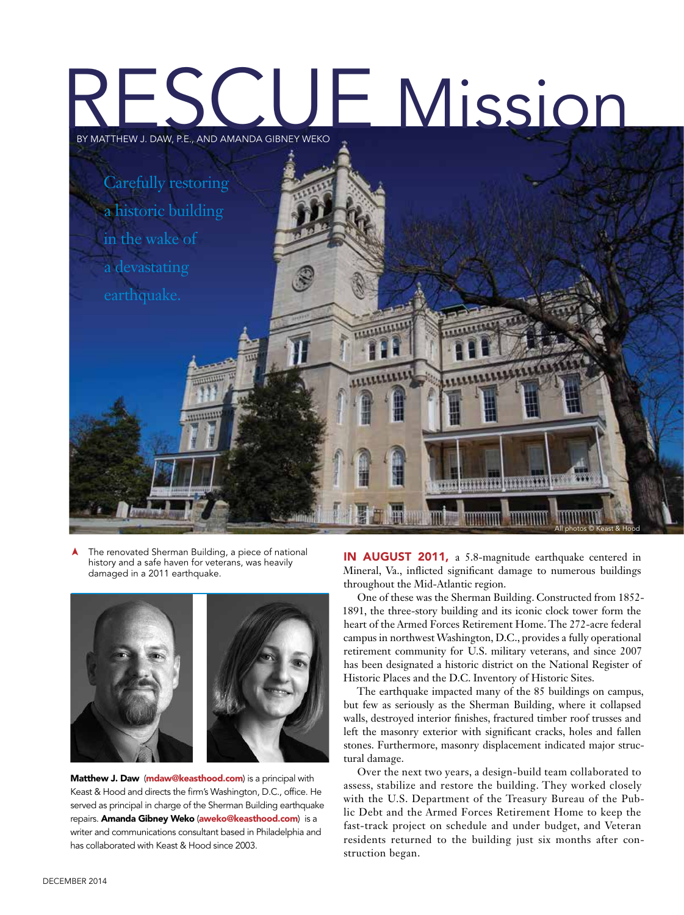# RESCUE Mission BY MATTHEW J. DAW, P.E., AND AMANDA GIBNEY WEKO



The renovated Sherman Building, a piece of national history and a safe haven for veterans, was heavily damaged in a 2011 earthquake. ➤



Matthew J. Daw (mdaw@keasthood.com) is a principal with Keast & Hood and directs the firm's Washington, D.C., office. He served as principal in charge of the Sherman Building earthquake repairs. Amanda Gibney Weko (aweko@keasthood.com) is a writer and communications consultant based in Philadelphia and has collaborated with Keast & Hood since 2003.

IN AUGUST 2011, a 5.8-magnitude earthquake centered in Mineral, Va., inflicted significant damage to numerous buildings throughout the Mid-Atlantic region.

One of these was the Sherman Building. Constructed from 1852- 1891, the three-story building and its iconic clock tower form the heart of the Armed Forces Retirement Home. The 272-acre federal campus in northwest Washington, D.C., provides a fully operational retirement community for U.S. military veterans, and since 2007 has been designated a historic district on the National Register of Historic Places and the D.C. Inventory of Historic Sites.

The earthquake impacted many of the 85 buildings on campus, but few as seriously as the Sherman Building, where it collapsed walls, destroyed interior finishes, fractured timber roof trusses and left the masonry exterior with significant cracks, holes and fallen stones. Furthermore, masonry displacement indicated major structural damage.

Over the next two years, a design-build team collaborated to assess, stabilize and restore the building. They worked closely with the U.S. Department of the Treasury Bureau of the Public Debt and the Armed Forces Retirement Home to keep the fast-track project on schedule and under budget, and Veteran residents returned to the building just six months after construction began.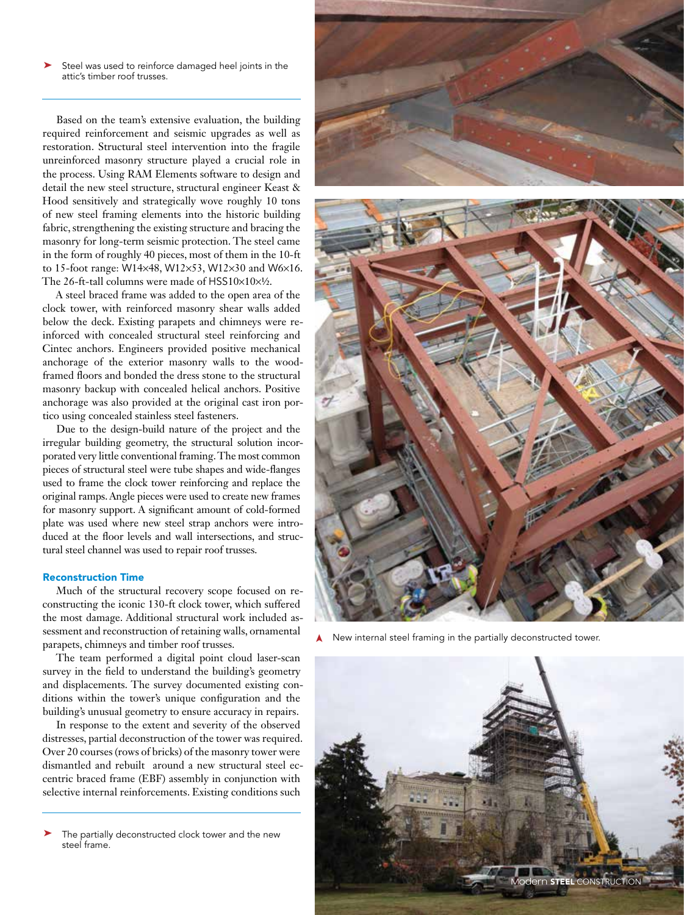➤ Steel was used to reinforce damaged heel joints in the attic's timber roof trusses.

Based on the team's extensive evaluation, the building required reinforcement and seismic upgrades as well as restoration. Structural steel intervention into the fragile unreinforced masonry structure played a crucial role in the process. Using RAM Elements software to design and detail the new steel structure, structural engineer Keast & Hood sensitively and strategically wove roughly 10 tons of new steel framing elements into the historic building fabric, strengthening the existing structure and bracing the masonry for long-term seismic protection. The steel came in the form of roughly 40 pieces, most of them in the 10-ft to 15-foot range: W14×48, W12×53, W12×30 and W6×16. The 26-ft-tall columns were made of HSS10×10×½.

A steel braced frame was added to the open area of the clock tower, with reinforced masonry shear walls added below the deck. Existing parapets and chimneys were reinforced with concealed structural steel reinforcing and Cintec anchors. Engineers provided positive mechanical anchorage of the exterior masonry walls to the woodframed floors and bonded the dress stone to the structural masonry backup with concealed helical anchors. Positive anchorage was also provided at the original cast iron portico using concealed stainless steel fasteners.

Due to the design-build nature of the project and the irregular building geometry, the structural solution incorporated very little conventional framing. The most common pieces of structural steel were tube shapes and wide-flanges used to frame the clock tower reinforcing and replace the original ramps. Angle pieces were used to create new frames for masonry support. A significant amount of cold-formed plate was used where new steel strap anchors were introduced at the floor levels and wall intersections, and structural steel channel was used to repair roof trusses.

### Reconstruction Time

Much of the structural recovery scope focused on reconstructing the iconic 130-ft clock tower, which suffered the most damage. Additional structural work included assessment and reconstruction of retaining walls, ornamental parapets, chimneys and timber roof trusses.

The team performed a digital point cloud laser-scan survey in the field to understand the building's geometry and displacements. The survey documented existing conditions within the tower's unique configuration and the building's unusual geometry to ensure accuracy in repairs.

In response to the extent and severity of the observed distresses, partial deconstruction of the tower was required. Over 20 courses (rows of bricks) of the masonry tower were dismantled and rebuilt around a new structural steel eccentric braced frame (EBF) assembly in conjunction with selective internal reinforcements. Existing conditions such

The partially deconstructed clock tower and the new steel frame. ➤





New internal steel framing in the partially deconstructed tower.

➤

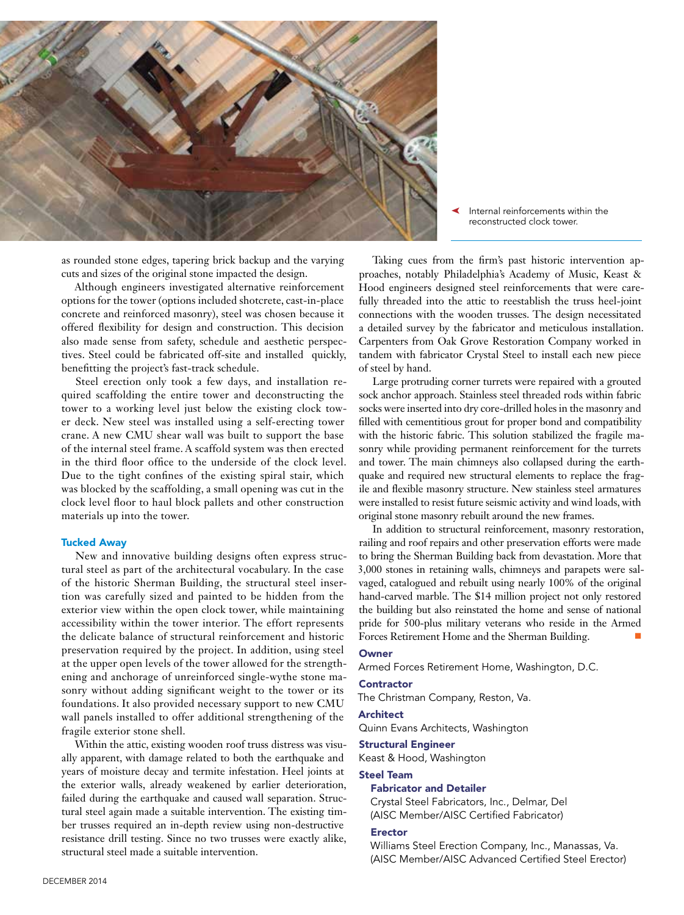

as rounded stone edges, tapering brick backup and the varying cuts and sizes of the original stone impacted the design.

Although engineers investigated alternative reinforcement options for the tower (options included shotcrete, cast-in-place concrete and reinforced masonry), steel was chosen because it offered flexibility for design and construction. This decision also made sense from safety, schedule and aesthetic perspectives. Steel could be fabricated off-site and installed quickly, benefitting the project's fast-track schedule.

Steel erection only took a few days, and installation required scaffolding the entire tower and deconstructing the tower to a working level just below the existing clock tower deck. New steel was installed using a self-erecting tower crane. A new CMU shear wall was built to support the base of the internal steel frame. A scaffold system was then erected in the third floor office to the underside of the clock level. Due to the tight confines of the existing spiral stair, which was blocked by the scaffolding, a small opening was cut in the clock level floor to haul block pallets and other construction materials up into the tower.

### Tucked Away

New and innovative building designs often express structural steel as part of the architectural vocabulary. In the case of the historic Sherman Building, the structural steel insertion was carefully sized and painted to be hidden from the exterior view within the open clock tower, while maintaining accessibility within the tower interior. The effort represents the delicate balance of structural reinforcement and historic preservation required by the project. In addition, using steel at the upper open levels of the tower allowed for the strengthening and anchorage of unreinforced single-wythe stone masonry without adding significant weight to the tower or its foundations. It also provided necessary support to new CMU wall panels installed to offer additional strengthening of the fragile exterior stone shell.

Within the attic, existing wooden roof truss distress was visually apparent, with damage related to both the earthquake and years of moisture decay and termite infestation. Heel joints at the exterior walls, already weakened by earlier deterioration, failed during the earthquake and caused wall separation. Structural steel again made a suitable intervention. The existing timber trusses required an in-depth review using non-destructive resistance drill testing. Since no two trusses were exactly alike, structural steel made a suitable intervention.

Internal reinforcements within the reconstructed clock tower.

Taking cues from the firm's past historic intervention approaches, notably Philadelphia's Academy of Music, Keast & Hood engineers designed steel reinforcements that were carefully threaded into the attic to reestablish the truss heel-joint connections with the wooden trusses. The design necessitated a detailed survey by the fabricator and meticulous installation. Carpenters from Oak Grove Restoration Company worked in tandem with fabricator Crystal Steel to install each new piece of steel by hand.

Large protruding corner turrets were repaired with a grouted sock anchor approach. Stainless steel threaded rods within fabric socks were inserted into dry core-drilled holes in the masonry and filled with cementitious grout for proper bond and compatibility with the historic fabric. This solution stabilized the fragile masonry while providing permanent reinforcement for the turrets and tower. The main chimneys also collapsed during the earthquake and required new structural elements to replace the fragile and flexible masonry structure. New stainless steel armatures were installed to resist future seismic activity and wind loads, with original stone masonry rebuilt around the new frames.

In addition to structural reinforcement, masonry restoration, railing and roof repairs and other preservation efforts were made to bring the Sherman Building back from devastation. More that 3,000 stones in retaining walls, chimneys and parapets were salvaged, catalogued and rebuilt using nearly 100% of the original hand-carved marble. The \$14 million project not only restored the building but also reinstated the home and sense of national pride for 500-plus military veterans who reside in the Armed Forces Retirement Home and the Sherman Building.

## **Owner**

Armed Forces Retirement Home, Washington, D.C.

### **Contractor**

The Christman Company, Reston, Va.

### Architect

Quinn Evans Architects, Washington

#### Structural Engineer

Keast & Hood, Washington

# Steel Team

## Fabricator and Detailer

Crystal Steel Fabricators, Inc., Delmar, Del (AISC Member/AISC Certified Fabricator)

# Erector

Williams Steel Erection Company, Inc., Manassas, Va. (AISC Member/AISC Advanced Certified Steel Erector)